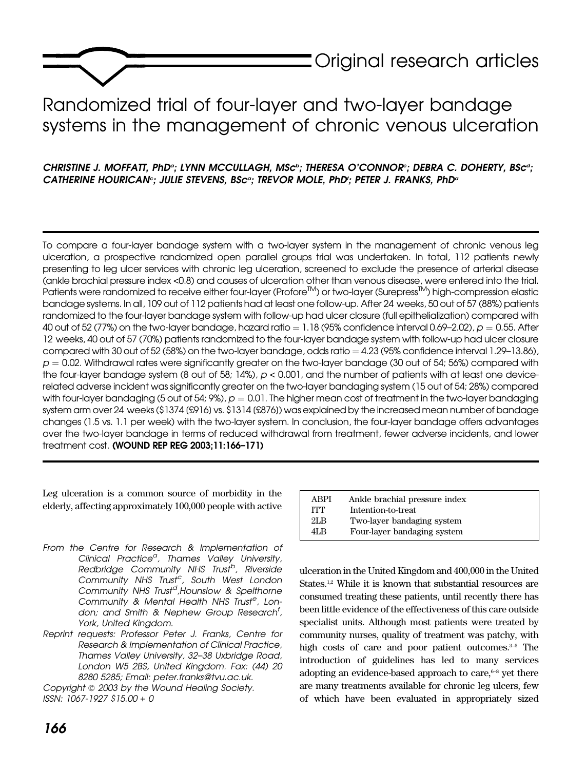

# Randomized trial of four-layer and two-layer bandage systems in the management of chronic venous ulceration

# CHRISTINE J. MOFFATT, PhDª; LYNN MCCULLAGH, MScª; THERESA O'CONNORª; DEBRA C. DOHERTY, BScª; CATHERINE HOURICAN°; JULIE STEVENS, BSc°; TREVOR MOLE, PhD'; PETER J. FRANKS, PhD°

To compare a four-layer bandage system with a two-layer system in the management of chronic venous leg ulceration, a prospective randomized open parallel groups trial was undertaken. In total, 112 patients newly presenting to leg ulcer services with chronic leg ulceration, screened to exclude the presence of arterial disease (ankle brachial pressure index <0.8) and causes of ulceration other than venous disease, were entered into the trial. Patients were randomized to receive either four-layer (Profore<sup>TM</sup>) or two-layer (Surepress<sup>TM</sup>) high-compression elastic bandage systems. In all, 109 out of 112 patients had at least one follow-up. After 24 weeks, 50 out of 57 (88%) patients randomized to the four-layer bandage system with follow-up had ulcer closure (full epithelialization) compared with 40 out of 52 (77%) on the two-layer bandage, hazard ratio  $= 1.18$  (95% confidence interval 0.69–2.02),  $p = 0.55$ . After 12 weeks, 40 out of 57 (70%) patients randomized to the four-layer bandage system with follow-up had ulcer closure compared with 30 out of 52 (58%) on the two-layer bandage, odds ratio  $=4.23$  (95% confidence interval 1.29–13.86),  $p = 0.02$ . Withdrawal rates were significantly greater on the two-layer bandage (30 out of 54; 56%) compared with the four-layer bandage system (8 out of 58; 14%),  $p < 0.001$ , and the number of patients with at least one devicerelated adverse incident was significantly greater on the two-layer bandaging system (15 out of 54; 28%) compared with four-layer bandaging (5 out of 54; 9%),  $p = 0.01$ . The higher mean cost of treatment in the two-layer bandaging system arm over 24 weeks (\$1374 [£916] vs. \$1314 [£876]) was explained by the increased mean number of bandage changes (1.5 vs. 1.1 per week) with the two-layer system. In conclusion, the four-layer bandage offers advantages over the two-layer bandage in terms of reduced withdrawal from treatment, fewer adverse incidents, and lower treatment cost. (WOUND REP REG 2003;11:166–171)

Leg ulceration is a common source of morbidity in the elderly, affecting approximately 100,000 people with active

From the Centre for Research & Implementation of Clinical Practice<sup>a</sup>, Thames Valley University, Redbridge Community NHS Trust<sup>b</sup>, Riverside Community NHS Trust<sup>c</sup>, South West London Community NHS Trust<sup>d</sup>,Hounslow & Spelthorne Community & Mental Health NHS Trust<sup>e</sup>, London; and Smith & Nephew Group Research<sup>f</sup>, York, United Kingdom.

Reprint requests: Professor Peter J. Franks, Centre for Research & Implementation of Clinical Practice, Thames Valley University, 32–38 Uxbridge Road, London W5 2BS, United Kingdom. Fax: (44) 20 8280 5285; Email: peter.franks@tvu.ac.uk.

Copyright © 2003 by the Wound Healing Society. ISSN: 1067-1927 \$15.00 + 0

| ABPI | Ankle brachial pressure index |
|------|-------------------------------|
| ITT  | Intention-to-treat            |
| 2LB  | Two-layer bandaging system    |
| 4I R | Four-layer bandaging system   |
|      |                               |

ulceration in the United Kingdom and 400,000 in the United States.<sup>1,2</sup> While it is known that substantial resources are consumed treating these patients, until recently there has been little evidence of the effectiveness of this care outside specialist units. Although most patients were treated by community nurses, quality of treatment was patchy, with high costs of care and poor patient outcomes. $3-5$  The introduction of guidelines has led to many services adopting an evidence-based approach to care, $6-8$  yet there are many treatments available for chronic leg ulcers, few of which have been evaluated in appropriately sized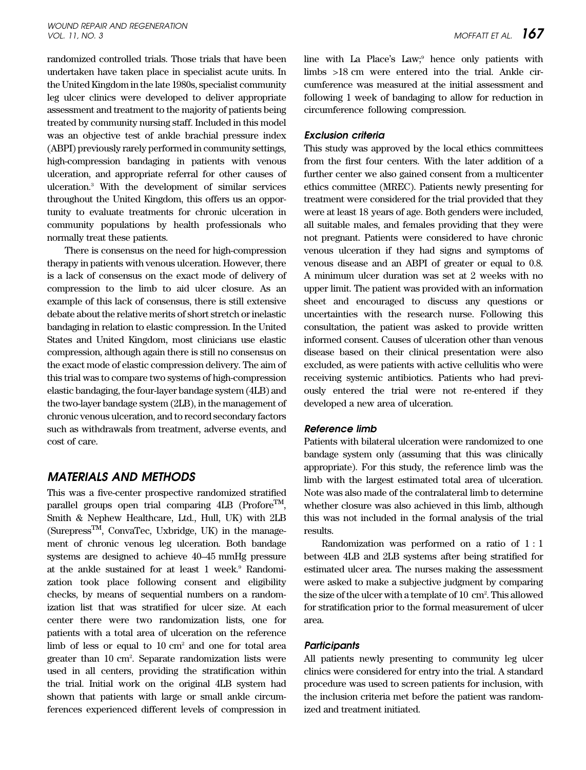#### WOUND REPAIR AND REGENERATION vol. 11, no. 3 MOFFATT ET AL.  $167$

randomized controlled trials. Those trials that have been undertaken have taken place in specialist acute units. In the United Kingdom in the late 1980s, specialist community leg ulcer clinics were developed to deliver appropriate assessment and treatment to the majority of patients being treated by community nursing staff. Included in this model was an objective test of ankle brachial pressure index (ABPI) previously rarely performed in community settings, high-compression bandaging in patients with venous ulceration, and appropriate referral for other causes of ulceration.3 With the development of similar services throughout the United Kingdom, this offers us an opportunity to evaluate treatments for chronic ulceration in community populations by health professionals who normally treat these patients.

There is consensus on the need for high-compression therapy in patients with venous ulceration. However, there is a lack of consensus on the exact mode of delivery of compression to the limb to aid ulcer closure. As an example of this lack of consensus, there is still extensive debate about the relative merits of short stretch or inelastic bandaging in relation to elastic compression. In the United States and United Kingdom, most clinicians use elastic compression, although again there is still no consensus on the exact mode of elastic compression delivery. The aim of this trial was to compare two systems of high-compression elastic bandaging, the four-layer bandage system (4LB) and the two-layer bandage system (2LB), in the management of chronic venous ulceration, and to record secondary factors such as withdrawals from treatment, adverse events, and cost of care.

# MATERIALS AND METHODS

This was a five-center prospective randomized stratified parallel groups open trial comparing  $4LB$  (Profore<sup>TM</sup>, Smith & Nephew Healthcare, Ltd., Hull, UK) with 2LB  $(Surepress<sup>TM</sup>, ConvaTec, Uxbridge, UK)$  in the management of chronic venous leg ulceration. Both bandage systems are designed to achieve 40–45 mmHg pressure at the ankle sustained for at least 1 week.<sup>9</sup> Randomization took place following consent and eligibility checks, by means of sequential numbers on a randomization list that was stratified for ulcer size. At each center there were two randomization lists, one for patients with a total area of ulceration on the reference limb of less or equal to 10 cm<sup>2</sup> and one for total area greater than 10 cm2 . Separate randomization lists were used in all centers, providing the stratification within the trial. Initial work on the original 4LB system had shown that patients with large or small ankle circumferences experienced different levels of compression in line with La Place's Law;<sup>9</sup> hence only patients with limbs >18 cm were entered into the trial. Ankle circumference was measured at the initial assessment and following 1 week of bandaging to allow for reduction in circumference following compression.

## Exclusion criteria

This study was approved by the local ethics committees from the first four centers. With the later addition of a further center we also gained consent from a multicenter ethics committee (MREC). Patients newly presenting for treatment were considered for the trial provided that they were at least 18 years of age. Both genders were included, all suitable males, and females providing that they were not pregnant. Patients were considered to have chronic venous ulceration if they had signs and symptoms of venous disease and an ABPI of greater or equal to 0.8. A minimum ulcer duration was set at 2 weeks with no upper limit. The patient was provided with an information sheet and encouraged to discuss any questions or uncertainties with the research nurse. Following this consultation, the patient was asked to provide written informed consent. Causes of ulceration other than venous disease based on their clinical presentation were also excluded, as were patients with active cellulitis who were receiving systemic antibiotics. Patients who had previously entered the trial were not re-entered if they developed a new area of ulceration.

### Reference limb

Patients with bilateral ulceration were randomized to one bandage system only (assuming that this was clinically appropriate). For this study, the reference limb was the limb with the largest estimated total area of ulceration. Note was also made of the contralateral limb to determine whether closure was also achieved in this limb, although this was not included in the formal analysis of the trial results.

Randomization was performed on a ratio of 1 : 1 between 4LB and 2LB systems after being stratified for estimated ulcer area. The nurses making the assessment were asked to make a subjective judgment by comparing the size of the ulcer with a template of 10 cm2 . This allowed for stratification prior to the formal measurement of ulcer area.

### Participants

All patients newly presenting to community leg ulcer clinics were considered for entry into the trial. A standard procedure was used to screen patients for inclusion, with the inclusion criteria met before the patient was randomized and treatment initiated.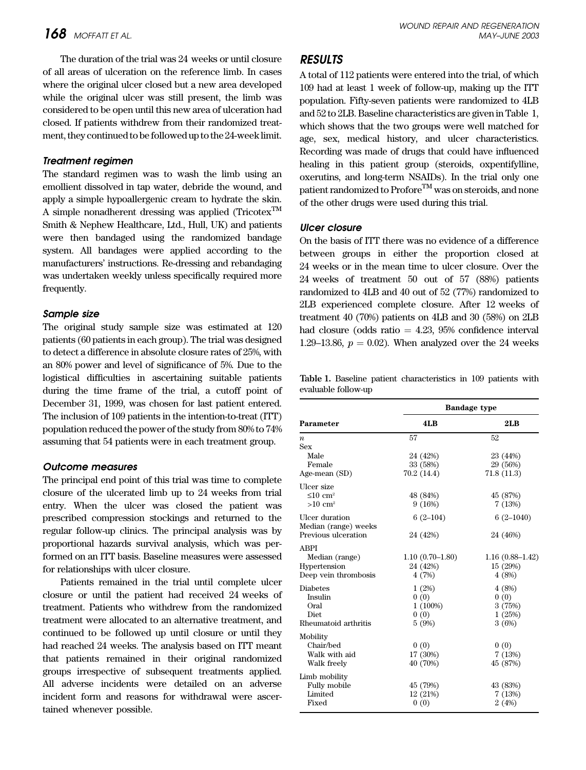The duration of the trial was 24 weeks or until closure of all areas of ulceration on the reference limb. In cases where the original ulcer closed but a new area developed while the original ulcer was still present, the limb was considered to be open until this new area of ulceration had closed. If patients withdrew from their randomized treatment, they continued to be followed up to the 24-week limit.

#### Treatment regimen

The standard regimen was to wash the limb using an emollient dissolved in tap water, debride the wound, and apply a simple hypoallergenic cream to hydrate the skin. A simple nonadherent dressing was applied (Tricotex<sup>TM</sup>) Smith & Nephew Healthcare, Ltd., Hull, UK) and patients were then bandaged using the randomized bandage system. All bandages were applied according to the manufacturers' instructions. Re-dressing and rebandaging was undertaken weekly unless specifically required more frequently.

#### Sample size

The original study sample size was estimated at 120 patients (60 patients in each group). The trial was designed to detect a difference in absolute closure rates of 25%, with an 80% power and level of significance of 5%. Due to the logistical difficulties in ascertaining suitable patients during the time frame of the trial, a cutoff point of December 31, 1999, was chosen for last patient entered. The inclusion of 109 patients in the intention-to-treat (ITT) population reduced the power of the study from 80% to 74% assuming that 54 patients were in each treatment group.

#### Outcome measures

The principal end point of this trial was time to complete closure of the ulcerated limb up to 24 weeks from trial entry. When the ulcer was closed the patient was prescribed compression stockings and returned to the regular follow-up clinics. The principal analysis was by proportional hazards survival analysis, which was performed on an ITT basis. Baseline measures were assessed for relationships with ulcer closure.

Patients remained in the trial until complete ulcer closure or until the patient had received 24 weeks of treatment. Patients who withdrew from the randomized treatment were allocated to an alternative treatment, and continued to be followed up until closure or until they had reached 24 weeks. The analysis based on ITT meant that patients remained in their original randomized groups irrespective of subsequent treatments applied. All adverse incidents were detailed on an adverse incident form and reasons for withdrawal were ascertained whenever possible.

# RESULTS

A total of 112 patients were entered into the trial, of which 109 had at least 1 week of follow-up, making up the ITT population. Fifty-seven patients were randomized to 4LB and 52 to 2LB. Baseline characteristics are given in Table 1, which shows that the two groups were well matched for age, sex, medical history, and ulcer characteristics. Recording was made of drugs that could have influenced healing in this patient group (steroids, oxpentifylline, oxerutins, and long-term NSAIDs). In the trial only one patient randomized to  $\text{Profore}^{\text{TM}}$  was on steroids, and none of the other drugs were used during this trial.

#### Ulcer closure

On the basis of ITT there was no evidence of a difference between groups in either the proportion closed at 24 weeks or in the mean time to ulcer closure. Over the 24 weeks of treatment 50 out of 57 (88%) patients randomized to 4LB and 40 out of 52 (77%) randomized to 2LB experienced complete closure. After 12 weeks of treatment 40 (70%) patients on 4LB and 30 (58%) on 2LB had closure (odds ratio  $= 4.23, 95\%$  confidence interval 1.29–13.86,  $p = 0.02$ ). When analyzed over the 24 weeks

Table 1. Baseline patient characteristics in 109 patients with evaluable follow-up

|                                        | <b>Bandage type</b> |                   |  |  |
|----------------------------------------|---------------------|-------------------|--|--|
| Parameter                              | 4LB                 | 2LB               |  |  |
| $\boldsymbol{n}$                       | 57                  | 52                |  |  |
| <b>Sex</b>                             |                     |                   |  |  |
| Male                                   | 24 (42%)            | 23 (44%)          |  |  |
| Female                                 | 33 (58%)            | 29 (56%)          |  |  |
| Age-mean (SD)                          | 70.2 (14.4)         | 71.8(11.3)        |  |  |
| Ulcer size                             |                     |                   |  |  |
| $\leq 10$ cm <sup>2</sup>              | 48 (84%)            | 45 (87%)          |  |  |
| $>10$ cm <sup>2</sup>                  | 9(16%)              | 7(13%)            |  |  |
| Ulcer duration<br>Median (range) weeks | $6(2-104)$          | $6(2-1040)$       |  |  |
| Previous ulceration                    | 24 (42%)            | 24 (46%)          |  |  |
| <b>ABPI</b>                            |                     |                   |  |  |
| Median (range)                         | $1.10(0.70-1.80)$   | $1.16(0.88-1.42)$ |  |  |
| Hypertension                           | 24 (42%)            | 15 (29%)          |  |  |
| Deep vein thrombosis                   | 4(7%)               | 4(8%)             |  |  |
| <b>Diabetes</b>                        | 1(2%)               | 4(8%)             |  |  |
| Insulin                                | 0(0)                | 0(0)              |  |  |
| Oral                                   | $1(100\%)$          | 3(75%)            |  |  |
| <b>Diet</b>                            | 0(0)                | 1(25%)            |  |  |
| Rheumatoid arthritis                   | 5 (9%)              | 3(6%)             |  |  |
| Mobility                               |                     |                   |  |  |
| Chair/bed                              | 0(0)                | 0(0)              |  |  |
| Walk with aid                          | 17 (30%)            | 7(13%)            |  |  |
| Walk freely                            | 40 (70%)            | 45 (87%)          |  |  |
| Limb mobility                          |                     |                   |  |  |
| <b>Fully mobile</b>                    | 45 (79%)            | 43 (83%)          |  |  |
| Limited                                | 12 (21%)            | 7(13%)            |  |  |
| Fixed                                  | 0(0)                | 2(4%)             |  |  |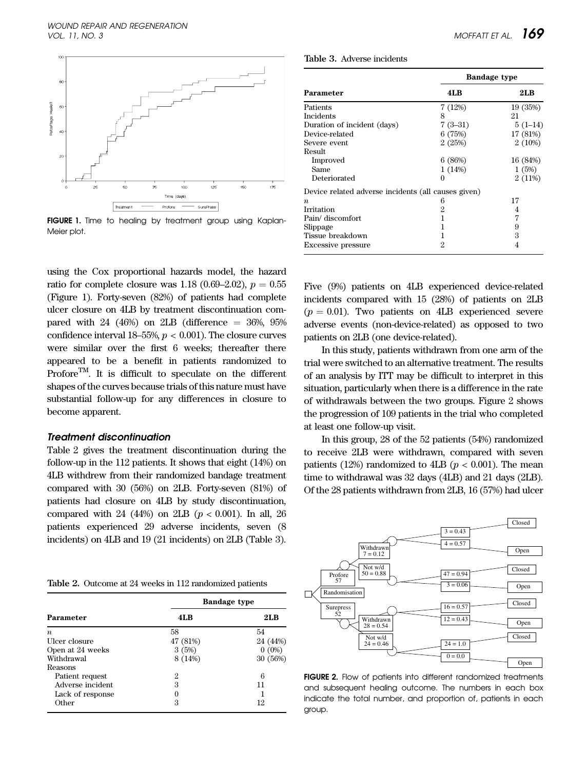

FIGURE 1. Time to healing by treatment group using Kaplan-Meier plot.

using the Cox proportional hazards model, the hazard ratio for complete closure was 1.18 (0.69–2.02),  $p = 0.55$ (Figure 1). Forty-seven (82%) of patients had complete ulcer closure on 4LB by treatment discontinuation compared with 24 (46%) on 2LB (difference  $=$  36%, 95% confidence interval 18–55%,  $p < 0.001$ ). The closure curves were similar over the first 6 weeks; thereafter there appeared to be a benefit in patients randomized to Profore<sup>TM</sup>. It is difficult to speculate on the different shapes of the curves because trials of this nature must have substantial follow-up for any differences in closure to become apparent.

#### Treatment discontinuation

Table 2 gives the treatment discontinuation during the follow-up in the 112 patients. It shows that eight (14%) on 4LB withdrew from their randomized bandage treatment compared with 30 (56%) on 2LB. Forty-seven (81%) of patients had closure on 4LB by study discontinuation, compared with 24 (44%) on 2LB ( $p < 0.001$ ). In all, 26 patients experienced 29 adverse incidents, seven (8 incidents) on 4LB and 19 (21 incidents) on 2LB (Table 3).

Table 2. Outcome at 24 weeks in 112 randomized patients

|                  | <b>Bandage type</b> |          |  |
|------------------|---------------------|----------|--|
| Parameter        | 4LB                 | 2LB      |  |
| $\boldsymbol{n}$ | 58                  | 54       |  |
| Ulcer closure    | 47 (81%)            | 24 (44%) |  |
| Open at 24 weeks | 3(5%)               | $0(0\%)$ |  |
| Withdrawal       | 8 (14%)             | 30 (56%) |  |
| Reasons          |                     |          |  |
| Patient request  | 2                   | 6        |  |
| Adverse incident | З                   | 11       |  |
| Lack of response | 0                   |          |  |
| Other            | 3                   | 12       |  |

Table 3. Adverse incidents

|                                                     | <b>Bandage type</b> |           |  |
|-----------------------------------------------------|---------------------|-----------|--|
| Parameter                                           | 4LB                 | 2LB       |  |
| Patients                                            | 7(12%)              | 19 (35%)  |  |
| <b>Incidents</b>                                    | 8                   | 21        |  |
| Duration of incident (days)                         | $7(3-31)$           | $5(1-14)$ |  |
| Device-related                                      | 6(75%)              | 17 (81%)  |  |
| Severe event                                        | 2(25%)              | 2(10%)    |  |
| Result                                              |                     |           |  |
| Improved                                            | 6(86%)              | 16 (84%)  |  |
| Same                                                | 1(14%)              | 1(5%)     |  |
| Deteriorated                                        | $\theta$            | 2(11%)    |  |
| Device related adverse incidents (all causes given) |                     |           |  |
| $\boldsymbol{n}$                                    | 6                   | 17        |  |
| Irritation                                          | 2                   | 4         |  |
| Pain/ discomfort                                    |                     | 7         |  |
| Slippage                                            |                     | 9         |  |
| Tissue breakdown                                    |                     | 3         |  |
| <b>Excessive pressure</b>                           | 2                   | 4         |  |

Five (9%) patients on 4LB experienced device-related incidents compared with 15 (28%) of patients on 2LB  $(p = 0.01)$ . Two patients on 4LB experienced severe adverse events (non-device-related) as opposed to two patients on 2LB (one device-related).

In this study, patients withdrawn from one arm of the trial were switched to an alternative treatment. The results of an analysis by ITT may be difficult to interpret in this situation, particularly when there is a difference in the rate of withdrawals between the two groups. Figure 2 shows the progression of 109 patients in the trial who completed at least one follow-up visit.

In this group, 28 of the 52 patients (54%) randomized to receive 2LB were withdrawn, compared with seven patients (12%) randomized to 4LB ( $p < 0.001$ ). The mean time to withdrawal was 32 days (4LB) and 21 days (2LB). Of the 28 patients withdrawn from 2LB, 16 (57%) had ulcer



FIGURE 2. Flow of patients into different randomized treatments and subsequent healing outcome. The numbers in each box indicate the total number, and proportion of, patients in each group.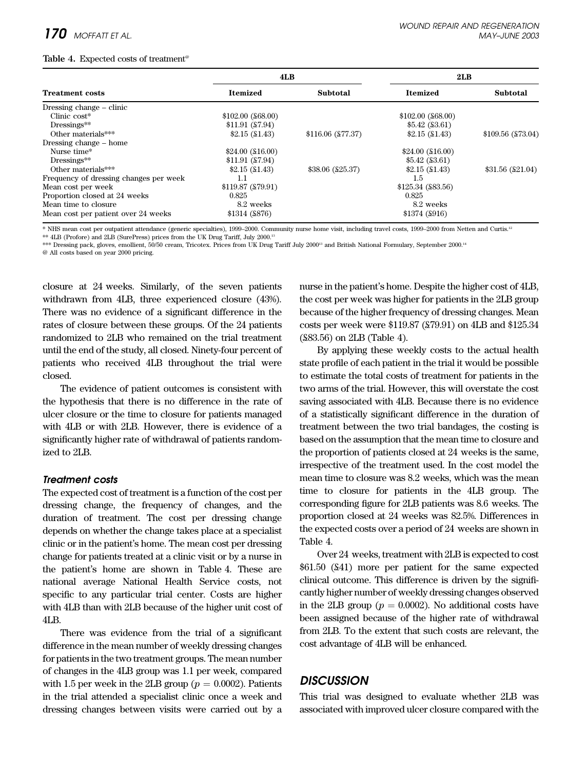#### Table 4. Expected costs of treatment<sup>®</sup>

|                                        | 4LB                 |                      | 2LB                 |                   |
|----------------------------------------|---------------------|----------------------|---------------------|-------------------|
| <b>Treatment costs</b>                 | <b>Itemized</b>     | Subtotal             | <b>Itemized</b>     | Subtotal          |
| Dressing change – clinic               |                     |                      |                     |                   |
| Clinic $cost*$                         | $$102.00$ (\$68.00) |                      | $$102.00$ (\$68.00) |                   |
| $Dressings**$                          | \$11.91(S7.94)      |                      | \$5.42(S3.61)       |                   |
| Other materials***                     | \$2.15(S1.43)       | $$116.06$ (£77.37)   | \$2.15(S1.43)       | \$109.56 (£73.04) |
| Dressing change – home                 |                     |                      |                     |                   |
| Nurse time*                            | \$24.00(S16.00)     |                      | $$24.00$ (\$16.00)  |                   |
| $Dressings**$                          | \$11.91(S7.94)      |                      | \$5.42(S3.61)       |                   |
| Other materials***                     | \$2.15(S1.43)       | $$38.06 \; (525.37)$ | \$2.15(S1.43)       | \$31.56(S21.04)   |
| Frequency of dressing changes per week | 1.1                 |                      | 1.5                 |                   |
| Mean cost per week                     | \$119.87 (£79.91)   |                      | $$125.34$ (\$83.56) |                   |
| Proportion closed at 24 weeks          | 0.825               |                      | 0.825               |                   |
| Mean time to closure                   | 8.2 weeks           |                      | 8.2 weeks           |                   |
| Mean cost per patient over 24 weeks    | \$1314 ( \$876)     |                      | \$1374 (\$916)      |                   |

\* NHS mean cost per outpatient attendance (generic specialties), 1999–2000. Community nurse home visit, including travel costs, 1999–2000 from Netten and Curtis.12

\*\* 4LB (Profore) and 2LB (SurePress) prices from the UK Drug Tariff, July 2000.13

\*\*\* Dressing pack, gloves, emollient, 50/50 cream, Tricotex. Prices from UK Drug Tariff July 2000<sup>13</sup> and British National Formulary, September 2000.<sup>14</sup>

@ All costs based on year 2000 pricing.

closure at 24 weeks. Similarly, of the seven patients withdrawn from 4LB, three experienced closure (43%). There was no evidence of a significant difference in the rates of closure between these groups. Of the 24 patients randomized to 2LB who remained on the trial treatment until the end of the study, all closed. Ninety-four percent of patients who received 4LB throughout the trial were closed.

The evidence of patient outcomes is consistent with the hypothesis that there is no difference in the rate of ulcer closure or the time to closure for patients managed with 4LB or with 2LB. However, there is evidence of a significantly higher rate of withdrawal of patients randomized to 2LB.

# Treatment costs

The expected cost of treatment is a function of the cost per dressing change, the frequency of changes, and the duration of treatment. The cost per dressing change depends on whether the change takes place at a specialist clinic or in the patient's home. The mean cost per dressing change for patients treated at a clinic visit or by a nurse in the patient's home are shown in Table 4. These are national average National Health Service costs, not specific to any particular trial center. Costs are higher with 4LB than with 2LB because of the higher unit cost of 4LB.

There was evidence from the trial of a significant difference in the mean number of weekly dressing changes for patients in the two treatment groups. The mean number of changes in the 4LB group was 1.1 per week, compared with 1.5 per week in the 2LB group ( $p = 0.0002$ ). Patients in the trial attended a specialist clinic once a week and dressing changes between visits were carried out by a nurse in the patient's home. Despite the higher cost of 4LB, the cost per week was higher for patients in the 2LB group because of the higher frequency of dressing changes. Mean costs per week were \$119.87 (£79.91) on 4LB and \$125.34 (£83.56) on 2LB (Table 4).

By applying these weekly costs to the actual health state profile of each patient in the trial it would be possible to estimate the total costs of treatment for patients in the two arms of the trial. However, this will overstate the cost saving associated with 4LB. Because there is no evidence of a statistically significant difference in the duration of treatment between the two trial bandages, the costing is based on the assumption that the mean time to closure and the proportion of patients closed at 24 weeks is the same, irrespective of the treatment used. In the cost model the mean time to closure was 8.2 weeks, which was the mean time to closure for patients in the 4LB group. The corresponding figure for 2LB patients was 8.6 weeks. The proportion closed at 24 weeks was 82.5%. Differences in the expected costs over a period of 24 weeks are shown in Table 4.

Over 24 weeks, treatment with 2LB is expected to cost \$61.50 (£41) more per patient for the same expected clinical outcome. This difference is driven by the significantly higher number of weekly dressing changes observed in the 2LB group ( $p = 0.0002$ ). No additional costs have been assigned because of the higher rate of withdrawal from 2LB. To the extent that such costs are relevant, the cost advantage of 4LB will be enhanced.

# **DISCUSSION**

This trial was designed to evaluate whether 2LB was associated with improved ulcer closure compared with the